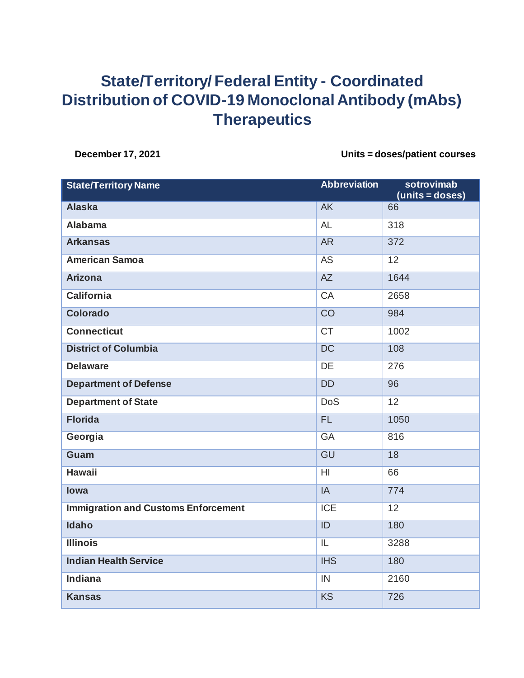## **State/Territory/ Federal Entity - Coordinated Distribution of COVID-19 Monoclonal Antibody (mAbs) Therapeutics**

**December 17, 2021 Units = doses/patient courses**

| <b>State/Territory Name</b>                | <b>Abbreviation</b>      | sotrovimab<br>(units = doses) |
|--------------------------------------------|--------------------------|-------------------------------|
| <b>Alaska</b>                              | <b>AK</b>                | 66                            |
| <b>Alabama</b>                             | <b>AL</b>                | 318                           |
| <b>Arkansas</b>                            | AR                       | 372                           |
| <b>American Samoa</b>                      | AS                       | $\overline{12}$               |
| <b>Arizona</b>                             | AZ                       | 1644                          |
| <b>California</b>                          | CA                       | 2658                          |
| <b>Colorado</b>                            | $\overline{CO}$          | 984                           |
| <b>Connecticut</b>                         | <b>CT</b>                | 1002                          |
| <b>District of Columbia</b>                | $\overline{DC}$          | 108                           |
| <b>Delaware</b>                            | <b>DE</b>                | 276                           |
| <b>Department of Defense</b>               | <b>DD</b>                | 96                            |
| <b>Department of State</b>                 | <b>DoS</b>               | 12                            |
| <b>Florida</b>                             | FL.                      | 1050                          |
| Georgia                                    | G A                      | 816                           |
| <b>Guam</b>                                | GU                       | 18                            |
| <b>Hawaii</b>                              | H <sub>l</sub>           | 66                            |
| lowa                                       | IA                       | 774                           |
| <b>Immigration and Customs Enforcement</b> | <b>ICE</b>               | 12                            |
| <b>Idaho</b>                               | ID                       | 180                           |
| <b>Illinois</b>                            | $\overline{\mathsf{IL}}$ | 3288                          |
| <b>Indian Health Service</b>               | <b>IHS</b>               | 180                           |
| <b>Indiana</b>                             | IN                       | 2160                          |
| <b>Kansas</b>                              | <b>KS</b>                | 726                           |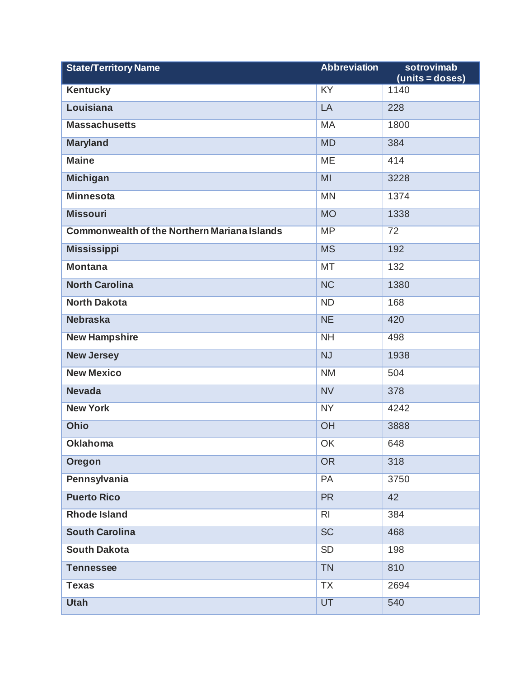| <b>State/Territory Name</b>                         | <b>Abbreviation</b>    | sotrovimab<br>$(units = doses)$ |
|-----------------------------------------------------|------------------------|---------------------------------|
| <b>Kentucky</b>                                     | KY                     | 1140                            |
| Louisiana                                           | LA                     | 228                             |
| <b>Massachusetts</b>                                | MA                     | 1800                            |
| <b>Maryland</b>                                     | <b>MD</b>              | 384                             |
| <b>Maine</b>                                        | <b>ME</b>              | 414                             |
| <b>Michigan</b>                                     | MI                     | 3228                            |
| <b>Minnesota</b>                                    | <b>MN</b>              | 1374                            |
| <b>Missouri</b>                                     | <b>MO</b>              | 1338                            |
| <b>Commonwealth of the Northern Mariana Islands</b> | <b>MP</b>              | 72                              |
| <b>Mississippi</b>                                  | <b>MS</b>              | 192                             |
| <b>Montana</b>                                      | <b>MT</b>              | 132                             |
| <b>North Carolina</b>                               | $\overline{\text{NC}}$ | 1380                            |
| <b>North Dakota</b>                                 | <b>ND</b>              | 168                             |
| <b>Nebraska</b>                                     | <b>NE</b>              | 420                             |
| <b>New Hampshire</b>                                | NH                     | 498                             |
| <b>New Jersey</b>                                   | <b>NJ</b>              | 1938                            |
| <b>New Mexico</b>                                   | <b>NM</b>              | 504                             |
| <b>Nevada</b>                                       | <b>NV</b>              | 378                             |
| <b>New York</b>                                     | <b>NY</b>              | 4242                            |
| <b>Ohio</b>                                         | OH                     | 3888                            |
| <b>Oklahoma</b>                                     | OK                     | 648                             |
| <b>Oregon</b>                                       | <b>OR</b>              | 318                             |
| Pennsylvania                                        | PA                     | 3750                            |
| <b>Puerto Rico</b>                                  | <b>PR</b>              | 42                              |
| <b>Rhode Island</b>                                 | R <sub>l</sub>         | 384                             |
| <b>South Carolina</b>                               | SC                     | 468                             |
| <b>South Dakota</b>                                 | <b>SD</b>              | 198                             |
| <b>Tennessee</b>                                    | <b>TN</b>              | 810                             |
| <b>Texas</b>                                        | <b>TX</b>              | 2694                            |
| <b>Utah</b>                                         | UT                     | 540                             |